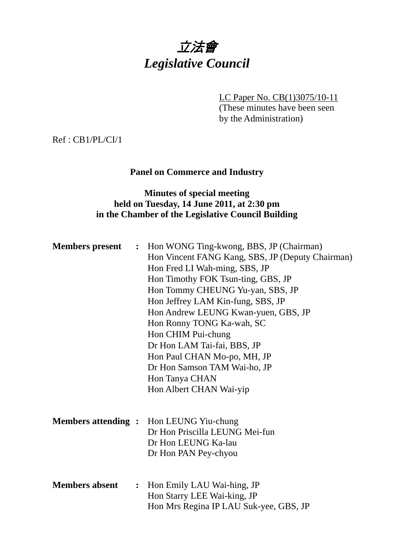

LC Paper No. CB(1)3075/10-11

(These minutes have been seen by the Administration)

Ref : CB1/PL/CI/1

## **Panel on Commerce and Industry**

### **Minutes of special meeting held on Tuesday, 14 June 2011, at 2:30 pm in the Chamber of the Legislative Council Building**

|                       |                | <b>Members present</b> : Hon WONG Ting-kwong, BBS, JP (Chairman)<br>Hon Vincent FANG Kang, SBS, JP (Deputy Chairman)<br>Hon Fred LI Wah-ming, SBS, JP<br>Hon Timothy FOK Tsun-ting, GBS, JP<br>Hon Tommy CHEUNG Yu-yan, SBS, JP<br>Hon Jeffrey LAM Kin-fung, SBS, JP<br>Hon Andrew LEUNG Kwan-yuen, GBS, JP<br>Hon Ronny TONG Ka-wah, SC<br>Hon CHIM Pui-chung<br>Dr Hon LAM Tai-fai, BBS, JP<br>Hon Paul CHAN Mo-po, MH, JP<br>Dr Hon Samson TAM Wai-ho, JP |
|-----------------------|----------------|--------------------------------------------------------------------------------------------------------------------------------------------------------------------------------------------------------------------------------------------------------------------------------------------------------------------------------------------------------------------------------------------------------------------------------------------------------------|
|                       |                | Hon Tanya CHAN<br>Hon Albert CHAN Wai-yip                                                                                                                                                                                                                                                                                                                                                                                                                    |
|                       |                | <b>Members attending :</b> Hon LEUNG Yiu-chung<br>Dr Hon Priscilla LEUNG Mei-fun<br>Dr Hon LEUNG Ka-lau<br>Dr Hon PAN Pey-chyou                                                                                                                                                                                                                                                                                                                              |
| <b>Members absent</b> | $\ddot{\cdot}$ | Hon Emily LAU Wai-hing, JP<br>Hon Starry LEE Wai-king, JP<br>Hon Mrs Regina IP LAU Suk-yee, GBS, JP                                                                                                                                                                                                                                                                                                                                                          |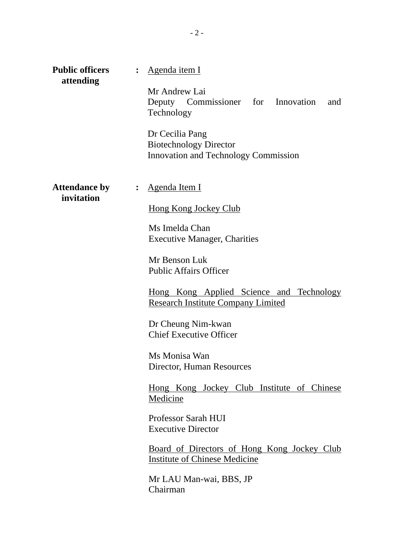| <b>Public officers</b><br>attending | $\ddot{\cdot}$ | Agenda item I                                                                            |
|-------------------------------------|----------------|------------------------------------------------------------------------------------------|
|                                     |                | Mr Andrew Lai<br>Deputy Commissioner for Innovation<br>and<br>Technology                 |
|                                     |                | Dr Cecilia Pang<br><b>Biotechnology Director</b><br>Innovation and Technology Commission |
| <b>Attendance by</b><br>invitation  |                | : Agenda Item I                                                                          |
|                                     |                | <b>Hong Kong Jockey Club</b>                                                             |
|                                     |                | Ms Imelda Chan<br><b>Executive Manager, Charities</b>                                    |
|                                     |                | Mr Benson Luk<br><b>Public Affairs Officer</b>                                           |
|                                     |                | Hong Kong Applied Science and Technology<br><b>Research Institute Company Limited</b>    |
|                                     |                | Dr Cheung Nim-kwan<br><b>Chief Executive Officer</b>                                     |
|                                     |                | Ms Monisa Wan<br>Director, Human Resources                                               |
|                                     |                | <u>Hong Kong Jockey Club Institute of Chinese</u><br>Medicine                            |
|                                     |                | Professor Sarah HUI<br><b>Executive Director</b>                                         |
|                                     |                | Board of Directors of Hong Kong Jockey Club<br><b>Institute of Chinese Medicine</b>      |
|                                     |                | Mr LAU Man-wai, BBS, JP<br>Chairman                                                      |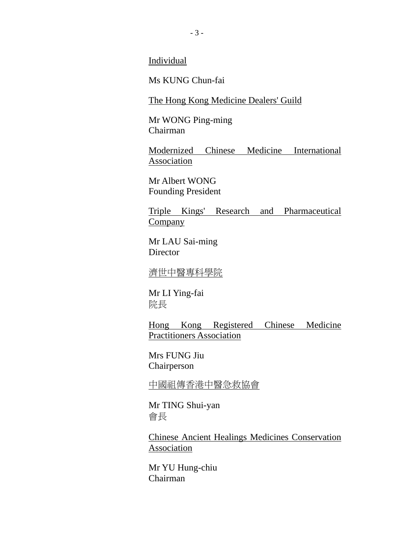Individual

Ms KUNG Chun-fai

The Hong Kong Medicine Dealers' Guild

Mr WONG Ping-ming Chairman

Modernized Chinese Medicine International **Association** 

Mr Albert WONG Founding President

Triple Kings' Research and Pharmaceutical Company

Mr LAU Sai-ming **Director** 

濟世中醫專科學院

Mr LI Ying-fai 院長

Hong Kong Registered Chinese Medicine Practitioners Association

Mrs FUNG Jiu Chairperson

中國祖傳香港中醫急救協會

Mr TING Shui-yan 會長

Chinese Ancient Healings Medicines Conservation Association

Mr YU Hung-chiu Chairman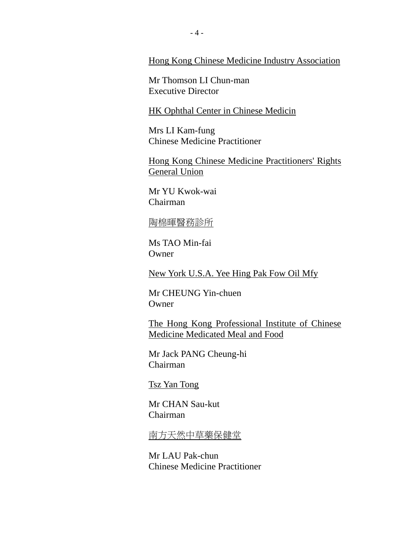Hong Kong Chinese Medicine Industry Association

Mr Thomson LI Chun-man Executive Director

**HK Ophthal Center in Chinese Medicin** 

Mrs LI Kam-fung Chinese Medicine Practitioner

Hong Kong Chinese Medicine Practitioners' Rights General Union

Mr YU Kwok-wai Chairman

#### 陶棉暉醫務診所

Ms TAO Min-fai **Owner** 

New York U.S.A. Yee Hing Pak Fow Oil Mfy

Mr CHEUNG Yin-chuen **Owner** 

The Hong Kong Professional Institute of Chinese Medicine Medicated Meal and Food

Mr Jack PANG Cheung-hi Chairman

Tsz Yan Tong

Mr CHAN Sau-kut Chairman

南方天然中草藥保健堂

Mr LAU Pak-chun Chinese Medicine Practitioner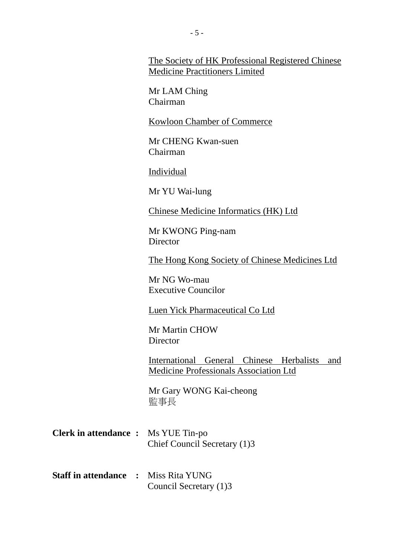The Society of HK Professional Registered Chinese Medicine Practitioners Limited

Mr LAM Ching Chairman

Kowloon Chamber of Commerce

Mr CHENG Kwan-suen Chairman

Individual

Mr YU Wai-lung

Chinese Medicine Informatics (HK) Ltd

Mr KWONG Ping-nam **Director** 

The Hong Kong Society of Chinese Medicines Ltd

Mr NG Wo-mau Executive Councilor

Luen Yick Pharmaceutical Co Ltd

Mr Martin CHOW **Director** 

International General Chinese Herbalists and Medicine Professionals Association Ltd

Mr Gary WONG Kai-cheong 監事長

- **Clerk in attendance :** Ms YUE Tin-po Chief Council Secretary (1)3
- **Staff in attendance :** Miss Rita YUNG Council Secretary (1)3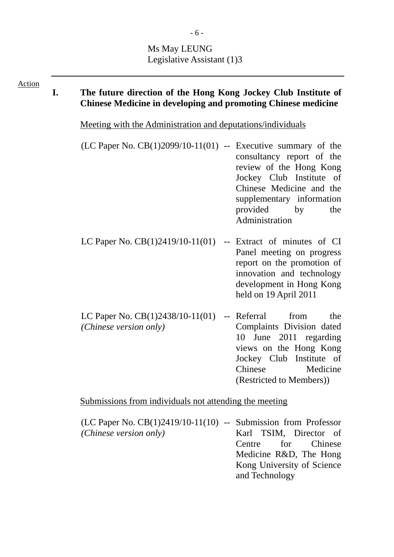# Ms May LEUNG Legislative Assistant (1)3

| <b>Action</b> | I. | The future direction of the Hong Kong Jockey Club Institute of<br><b>Chinese Medicine in developing and promoting Chinese medicine</b><br><u>Meeting with the Administration and deputations/individuals</u> |                                                                                                                                                                                            |  |  |  |  |  |
|---------------|----|--------------------------------------------------------------------------------------------------------------------------------------------------------------------------------------------------------------|--------------------------------------------------------------------------------------------------------------------------------------------------------------------------------------------|--|--|--|--|--|
|               |    |                                                                                                                                                                                                              |                                                                                                                                                                                            |  |  |  |  |  |
|               |    | $(LC$ Paper No. $CB(1)2099/10-11(01)$ -- Executive summary of the                                                                                                                                            | consultancy report of the<br>review of the Hong Kong<br>Jockey Club Institute of<br>Chinese Medicine and the<br>supplementary information<br>provided<br>by<br>the<br>Administration       |  |  |  |  |  |
|               |    | LC Paper No. $CB(1)2419/10-11(01)$                                                                                                                                                                           | -- Extract of minutes of CI<br>Panel meeting on progress<br>report on the promotion of<br>innovation and technology<br>development in Hong Kong<br>held on 19 April 2011                   |  |  |  |  |  |
|               |    | LC Paper No. $CB(1)2438/10-11(01)$<br>(Chinese version only)                                                                                                                                                 | -- Referral<br>from<br>the<br>Complaints Division dated<br>10 June 2011 regarding<br>views on the Hong Kong<br>Jockey Club Institute of<br>Chinese<br>Medicine<br>(Restricted to Members)) |  |  |  |  |  |
|               |    | Submissions from individuals not attending the meeting                                                                                                                                                       |                                                                                                                                                                                            |  |  |  |  |  |
|               |    | $(LC$ Paper No. $CB(1)2419/10-11(10)$ -- Submission from Professor                                                                                                                                           |                                                                                                                                                                                            |  |  |  |  |  |

*(Chinese version only)* -- Submission from Professor Karl TSIM, Director of Centre for Chinese Medicine R&D, The Hong Kong University of Science and Technology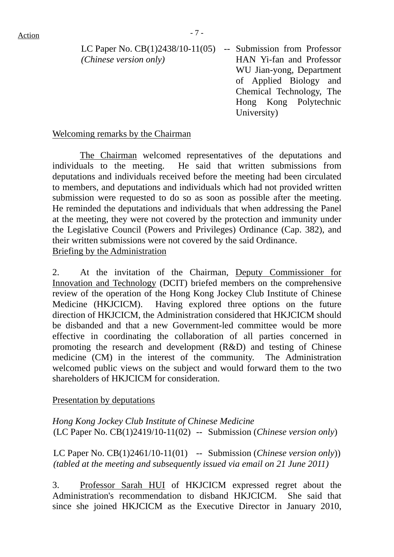LC Paper No. CB(1)2438/10-11(05) -- Submission from Professor *(Chinese version only)*

HAN Yi-fan and Professor WU Jian-yong, Department of Applied Biology and Chemical Technology, The Hong Kong Polytechnic University)

#### Welcoming remarks by the Chairman

 The Chairman welcomed representatives of the deputations and individuals to the meeting. He said that written submissions from deputations and individuals received before the meeting had been circulated to members, and deputations and individuals which had not provided written submission were requested to do so as soon as possible after the meeting. He reminded the deputations and individuals that when addressing the Panel at the meeting, they were not covered by the protection and immunity under the Legislative Council (Powers and Privileges) Ordinance (Cap. 382), and their written submissions were not covered by the said Ordinance. Briefing by the Administration

2. At the invitation of the Chairman, Deputy Commissioner for Innovation and Technology (DCIT) briefed members on the comprehensive review of the operation of the Hong Kong Jockey Club Institute of Chinese Medicine (HKJCICM). Having explored three options on the future direction of HKJCICM, the Administration considered that HKJCICM should be disbanded and that a new Government-led committee would be more effective in coordinating the collaboration of all parties concerned in promoting the research and development (R&D) and testing of Chinese medicine (CM) in the interest of the community. The Administration welcomed public views on the subject and would forward them to the two shareholders of HKJCICM for consideration.

#### Presentation by deputations

*Hong Kong Jockey Club Institute of Chinese Medicine*  (LC Paper No. CB(1)2419/10-11(02) -- Submission (*Chinese version only*)

LC Paper No. CB(1)2461/10-11(01) -- Submission (*Chinese version only*)) *(tabled at the meeting and subsequently issued via email on 21 June 2011)*

3. Professor Sarah HUI of HKJCICM expressed regret about the Administration's recommendation to disband HKJCICM. She said that since she joined HKJCICM as the Executive Director in January 2010,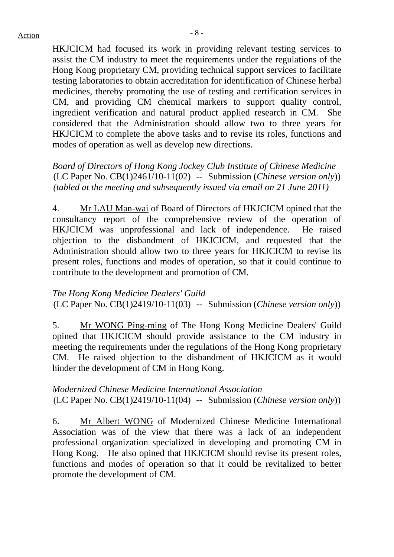HKJCICM had focused its work in providing relevant testing services to assist the CM industry to meet the requirements under the regulations of the Hong Kong proprietary CM, providing technical support services to facilitate testing laboratories to obtain accreditation for identification of Chinese herbal medicines, thereby promoting the use of testing and certification services in CM, and providing CM chemical markers to support quality control, ingredient verification and natural product applied research in CM. She considered that the Administration should allow two to three years for HKJCICM to complete the above tasks and to revise its roles, functions and modes of operation as well as develop new directions.

*Board of Directors of Hong Kong Jockey Club Institute of Chinese Medicine*  (LC Paper No. CB(1)2461/10-11(02) -- Submission (*Chinese version only*)) *(tabled at the meeting and subsequently issued via email on 21 June 2011)*

4. Mr LAU Man-wai of Board of Directors of HKJCICM opined that the consultancy report of the comprehensive review of the operation of HKJCICM was unprofessional and lack of independence. He raised objection to the disbandment of HKJCICM, and requested that the Administration should allow two to three years for HKJCICM to revise its present roles, functions and modes of operation, so that it could continue to contribute to the development and promotion of CM.

#### *The Hong Kong Medicine Dealers' Guild*

(LC Paper No. CB(1)2419/10-11(03) -- Submission (*Chinese version only*))

5. Mr WONG Ping-ming of The Hong Kong Medicine Dealers' Guild opined that HKJCICM should provide assistance to the CM industry in meeting the requirements under the regulations of the Hong Kong proprietary CM. He raised objection to the disbandment of HKJCICM as it would hinder the development of CM in Hong Kong.

#### *Modernized Chinese Medicine International Association*  (LC Paper No. CB(1)2419/10-11(04) -- Submission (*Chinese version only*))

6. Mr Albert WONG of Modernized Chinese Medicine International Association was of the view that there was a lack of an independent professional organization specialized in developing and promoting CM in Hong Kong. He also opined that HKJCICM should revise its present roles, functions and modes of operation so that it could be revitalized to better promote the development of CM.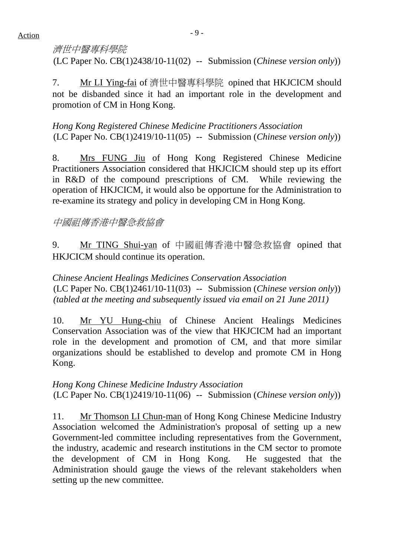# 濟世中醫專科學院

(LC Paper No. CB(1)2438/10-11(02) -- Submission (*Chinese version only*))

7. Mr LI Ying-fai of 濟世中醫專科學院 opined that HKJCICM should not be disbanded since it had an important role in the development and promotion of CM in Hong Kong.

*Hong Kong Registered Chinese Medicine Practitioners Association*  (LC Paper No. CB(1)2419/10-11(05) -- Submission (*Chinese version only*))

8. Mrs FUNG Jiu of Hong Kong Registered Chinese Medicine Practitioners Association considered that HKJCICM should step up its effort in R&D of the compound prescriptions of CM. While reviewing the operation of HKJCICM, it would also be opportune for the Administration to re-examine its strategy and policy in developing CM in Hong Kong.

## 中國祖傳香港中醫急救協會

9. Mr TING Shui-yan of 中國祖傳香港中醫急救協會 opined that HKJCICM should continue its operation.

*Chinese Ancient Healings Medicines Conservation Association*  (LC Paper No. CB(1)2461/10-11(03) -- Submission (*Chinese version only*)) *(tabled at the meeting and subsequently issued via email on 21 June 2011)*

10. Mr YU Hung-chiu of Chinese Ancient Healings Medicines Conservation Association was of the view that HKJCICM had an important role in the development and promotion of CM, and that more similar organizations should be established to develop and promote CM in Hong Kong.

#### *Hong Kong Chinese Medicine Industry Association*  (LC Paper No. CB(1)2419/10-11(06) -- Submission (*Chinese version only*))

11. Mr Thomson LI Chun-man of Hong Kong Chinese Medicine Industry Association welcomed the Administration's proposal of setting up a new Government-led committee including representatives from the Government, the industry, academic and research institutions in the CM sector to promote the development of CM in Hong Kong. He suggested that the Administration should gauge the views of the relevant stakeholders when setting up the new committee.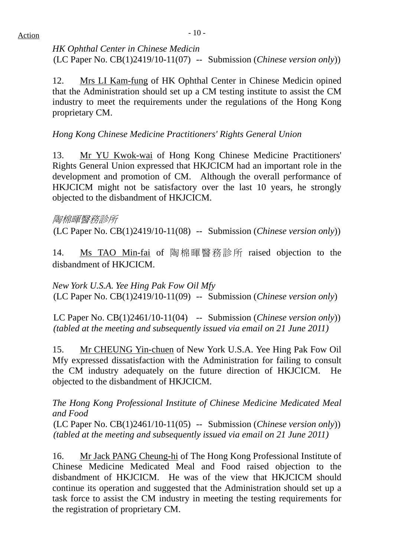*HK Ophthal Center in Chinese Medicin*  (LC Paper No. CB(1)2419/10-11(07) -- Submission (*Chinese version only*))

12. Mrs LI Kam-fung of HK Ophthal Center in Chinese Medicin opined that the Administration should set up a CM testing institute to assist the CM industry to meet the requirements under the regulations of the Hong Kong proprietary CM.

*Hong Kong Chinese Medicine Practitioners' Rights General Union* 

13. Mr YU Kwok-wai of Hong Kong Chinese Medicine Practitioners' Rights General Union expressed that HKJCICM had an important role in the development and promotion of CM. Although the overall performance of HKJCICM might not be satisfactory over the last 10 years, he strongly objected to the disbandment of HKJCICM.

#### 陶棉暉醫務診所

(LC Paper No. CB(1)2419/10-11(08) -- Submission (*Chinese version only*))

14. Ms TAO Min-fai of 陶棉暉醫務診所 raised objection to the disbandment of HKJCICM.

*New York U.S.A. Yee Hing Pak Fow Oil Mfy*  (LC Paper No. CB(1)2419/10-11(09) -- Submission (*Chinese version only*)

LC Paper No. CB(1)2461/10-11(04) -- Submission (*Chinese version only*)) *(tabled at the meeting and subsequently issued via email on 21 June 2011)*

15. Mr CHEUNG Yin-chuen of New York U.S.A. Yee Hing Pak Fow Oil Mfy expressed dissatisfaction with the Administration for failing to consult the CM industry adequately on the future direction of HKJCICM. He objected to the disbandment of HKJCICM.

*The Hong Kong Professional Institute of Chinese Medicine Medicated Meal and Food* 

(LC Paper No. CB(1)2461/10-11(05) -- Submission (*Chinese version only*)) *(tabled at the meeting and subsequently issued via email on 21 June 2011)*

16. Mr Jack PANG Cheung-hi of The Hong Kong Professional Institute of Chinese Medicine Medicated Meal and Food raised objection to the disbandment of HKJCICM. He was of the view that HKJCICM should continue its operation and suggested that the Administration should set up a task force to assist the CM industry in meeting the testing requirements for the registration of proprietary CM.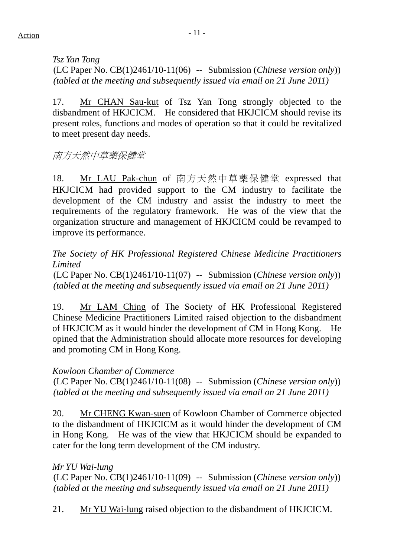*Tsz Yan Tong*  (LC Paper No. CB(1)2461/10-11(06) -- Submission (*Chinese version only*)) *(tabled at the meeting and subsequently issued via email on 21 June 2011)*

17. Mr CHAN Sau-kut of Tsz Yan Tong strongly objected to the disbandment of HKJCICM. He considered that HKJCICM should revise its present roles, functions and modes of operation so that it could be revitalized to meet present day needs.

南方天然中草藥保健堂

18. Mr LAU Pak-chun of 南方天然中草藥保健堂 expressed that HKJCICM had provided support to the CM industry to facilitate the development of the CM industry and assist the industry to meet the requirements of the regulatory framework. He was of the view that the organization structure and management of HKJCICM could be revamped to improve its performance.

*The Society of HK Professional Registered Chinese Medicine Practitioners Limited* 

(LC Paper No. CB(1)2461/10-11(07) -- Submission (*Chinese version only*)) *(tabled at the meeting and subsequently issued via email on 21 June 2011)*

19. Mr LAM Ching of The Society of HK Professional Registered Chinese Medicine Practitioners Limited raised objection to the disbandment of HKJCICM as it would hinder the development of CM in Hong Kong. He opined that the Administration should allocate more resources for developing and promoting CM in Hong Kong.

## *Kowloon Chamber of Commerce*

(LC Paper No. CB(1)2461/10-11(08) -- Submission (*Chinese version only*)) *(tabled at the meeting and subsequently issued via email on 21 June 2011)*

20. Mr CHENG Kwan-suen of Kowloon Chamber of Commerce objected to the disbandment of HKJCICM as it would hinder the development of CM in Hong Kong. He was of the view that HKJCICM should be expanded to cater for the long term development of the CM industry.

*Mr YU Wai-lung*  (LC Paper No. CB(1)2461/10-11(09) -- Submission (*Chinese version only*)) *(tabled at the meeting and subsequently issued via email on 21 June 2011)*

21. Mr YU Wai-lung raised objection to the disbandment of HKJCICM.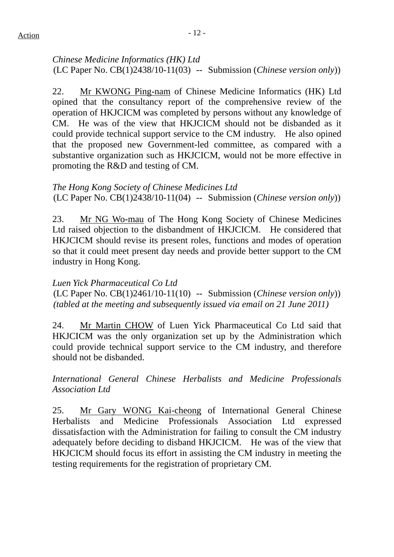*Chinese Medicine Informatics (HK) Ltd*  (LC Paper No. CB(1)2438/10-11(03) -- Submission (*Chinese version only*))

22. Mr KWONG Ping-nam of Chinese Medicine Informatics (HK) Ltd opined that the consultancy report of the comprehensive review of the operation of HKJCICM was completed by persons without any knowledge of CM. He was of the view that HKJCICM should not be disbanded as it could provide technical support service to the CM industry. He also opined that the proposed new Government-led committee, as compared with a substantive organization such as HKJCICM, would not be more effective in promoting the R&D and testing of CM.

### *The Hong Kong Society of Chinese Medicines Ltd*  (LC Paper No. CB(1)2438/10-11(04) -- Submission (*Chinese version only*))

23. Mr NG Wo-mau of The Hong Kong Society of Chinese Medicines Ltd raised objection to the disbandment of HKJCICM. He considered that HKJCICM should revise its present roles, functions and modes of operation so that it could meet present day needs and provide better support to the CM industry in Hong Kong.

#### *Luen Yick Pharmaceutical Co Ltd*

(LC Paper No. CB(1)2461/10-11(10) -- Submission (*Chinese version only*)) *(tabled at the meeting and subsequently issued via email on 21 June 2011)*

24. Mr Martin CHOW of Luen Yick Pharmaceutical Co Ltd said that HKJCICM was the only organization set up by the Administration which could provide technical support service to the CM industry, and therefore should not be disbanded.

*International General Chinese Herbalists and Medicine Professionals Association Ltd* 

25. Mr Gary WONG Kai-cheong of International General Chinese Herbalists and Medicine Professionals Association Ltd expressed dissatisfaction with the Administration for failing to consult the CM industry adequately before deciding to disband HKJCICM. He was of the view that HKJCICM should focus its effort in assisting the CM industry in meeting the testing requirements for the registration of proprietary CM.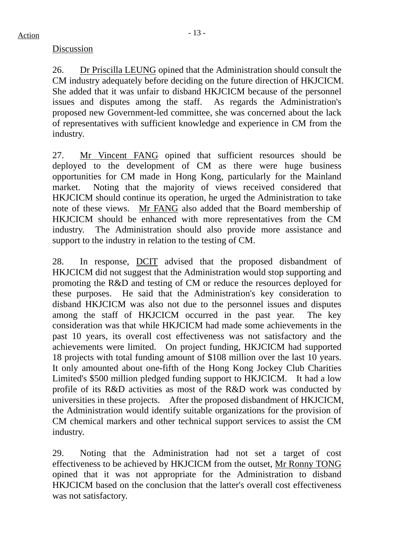#### Discussion

26. Dr Priscilla LEUNG opined that the Administration should consult the CM industry adequately before deciding on the future direction of HKJCICM. She added that it was unfair to disband HKJCICM because of the personnel issues and disputes among the staff. As regards the Administration's proposed new Government-led committee, she was concerned about the lack of representatives with sufficient knowledge and experience in CM from the industry.

27. Mr Vincent FANG opined that sufficient resources should be deployed to the development of CM as there were huge business opportunities for CM made in Hong Kong, particularly for the Mainland market. Noting that the majority of views received considered that HKJCICM should continue its operation, he urged the Administration to take note of these views. Mr FANG also added that the Board membership of HKJCICM should be enhanced with more representatives from the CM industry. The Administration should also provide more assistance and support to the industry in relation to the testing of CM.

28. In response, DCIT advised that the proposed disbandment of HKJCICM did not suggest that the Administration would stop supporting and promoting the R&D and testing of CM or reduce the resources deployed for these purposes. He said that the Administration's key consideration to disband HKJCICM was also not due to the personnel issues and disputes among the staff of HKJCICM occurred in the past year. The key consideration was that while HKJCICM had made some achievements in the past 10 years, its overall cost effectiveness was not satisfactory and the achievements were limited. On project funding, HKJCICM had supported 18 projects with total funding amount of \$108 million over the last 10 years. It only amounted about one-fifth of the Hong Kong Jockey Club Charities Limited's \$500 million pledged funding support to HKJCICM. It had a low profile of its R&D activities as most of the R&D work was conducted by universities in these projects. After the proposed disbandment of HKJCICM, the Administration would identify suitable organizations for the provision of CM chemical markers and other technical support services to assist the CM industry.

29. Noting that the Administration had not set a target of cost effectiveness to be achieved by HKJCICM from the outset, Mr Ronny TONG opined that it was not appropriate for the Administration to disband HKJCICM based on the conclusion that the latter's overall cost effectiveness was not satisfactory.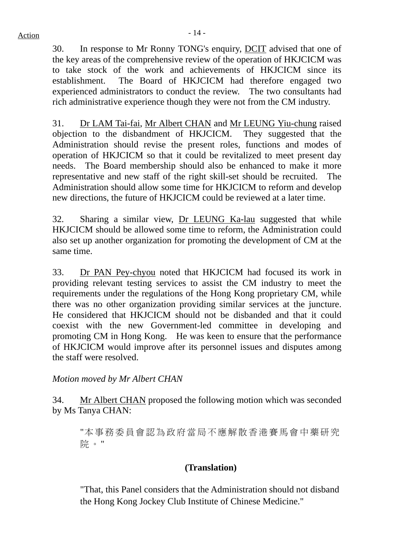30. In response to Mr Ronny TONG's enquiry, DCIT advised that one of the key areas of the comprehensive review of the operation of HKJCICM was to take stock of the work and achievements of HKJCICM since its establishment. The Board of HKJCICM had therefore engaged two experienced administrators to conduct the review. The two consultants had rich administrative experience though they were not from the CM industry.

31. Dr LAM Tai-fai, Mr Albert CHAN and Mr LEUNG Yiu-chung raised objection to the disbandment of HKJCICM. They suggested that the Administration should revise the present roles, functions and modes of operation of HKJCICM so that it could be revitalized to meet present day needs. The Board membership should also be enhanced to make it more representative and new staff of the right skill-set should be recruited. The Administration should allow some time for HKJCICM to reform and develop new directions, the future of HKJCICM could be reviewed at a later time.

32. Sharing a similar view, Dr LEUNG Ka-lau suggested that while HKJCICM should be allowed some time to reform, the Administration could also set up another organization for promoting the development of CM at the same time.

33. Dr PAN Pey-chyou noted that HKJCICM had focused its work in providing relevant testing services to assist the CM industry to meet the requirements under the regulations of the Hong Kong proprietary CM, while there was no other organization providing similar services at the juncture. He considered that HKJCICM should not be disbanded and that it could coexist with the new Government-led committee in developing and promoting CM in Hong Kong. He was keen to ensure that the performance of HKJCICM would improve after its personnel issues and disputes among the staff were resolved.

*Motion moved by Mr Albert CHAN* 

34. Mr Albert CHAN proposed the following motion which was seconded by Ms Tanya CHAN:

"本事務委員會認為政府當局不應解散香港賽馬會中藥研究 院。"

## **(Translation)**

"That, this Panel considers that the Administration should not disband the Hong Kong Jockey Club Institute of Chinese Medicine."